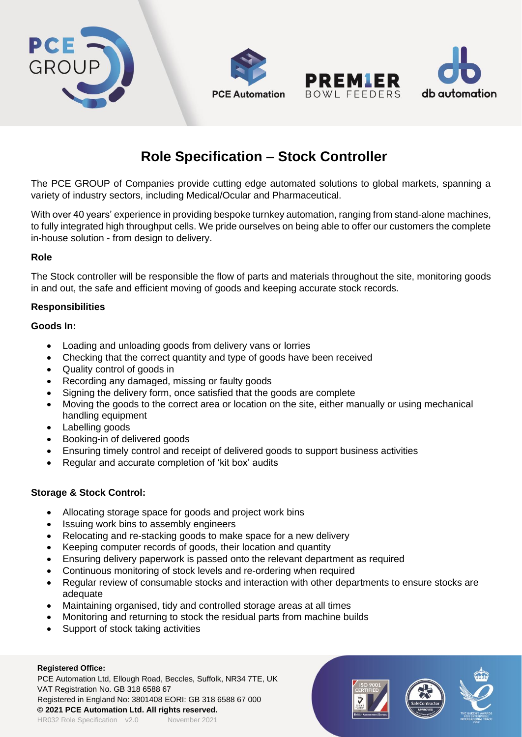





The PCE GROUP of Companies provide cutting edge automated solutions to global markets, spanning a variety of industry sectors, including Medical/Ocular and Pharmaceutical.

With over 40 years' experience in providing bespoke turnkey automation, ranging from stand-alone machines, to fully integrated high throughput cells. We pride ourselves on being able to offer our customers the complete in-house solution - from design to delivery.

# **Role**

The Stock controller will be responsible the flow of parts and materials throughout the site, monitoring goods in and out, the safe and efficient moving of goods and keeping accurate stock records.

#### **Responsibilities**

#### **Goods In:**

- Loading and unloading goods from delivery vans or lorries
- Checking that the correct quantity and type of goods have been received
- Quality control of goods in
- Recording any damaged, missing or faulty goods
- Signing the delivery form, once satisfied that the goods are complete
- Moving the goods to the correct area or location on the site, either manually or using mechanical handling equipment
- Labelling goods
- Booking-in of delivered goods
- Ensuring timely control and receipt of delivered goods to support business activities
- Regular and accurate completion of 'kit box' audits

# **Storage & Stock Control:**

- Allocating storage space for goods and project work bins
- Issuing work bins to assembly engineers
- Relocating and re-stacking goods to make space for a new delivery
- Keeping computer records of goods, their location and quantity
- Ensuring delivery paperwork is passed onto the relevant department as required
- Continuous monitoring of stock levels and re-ordering when required
- Regular review of consumable stocks and interaction with other departments to ensure stocks are adequate
- Maintaining organised, tidy and controlled storage areas at all times
- Monitoring and returning to stock the residual parts from machine builds
- Support of stock taking activities

#### **Registered Office:**

PCE Automation Ltd, Ellough Road, Beccles, Suffolk, NR34 7TE, UK VAT Registration No. GB 318 6588 67 Registered in England No: 3801408 EORI: GB 318 6588 67 000 **© 2021 PCE Automation Ltd. All rights reserved.** HR032 Role Specification v2.0 November 2021



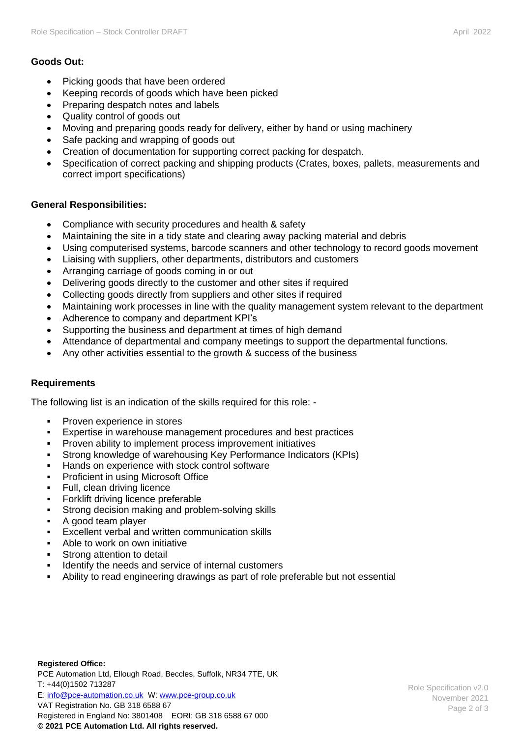# **Goods Out:**

- Picking goods that have been ordered
- Keeping records of goods which have been picked
- Preparing despatch notes and labels
- Quality control of goods out
- Moving and preparing goods ready for delivery, either by hand or using machinery
- Safe packing and wrapping of goods out
- Creation of documentation for supporting correct packing for despatch.
- Specification of correct packing and shipping products (Crates, boxes, pallets, measurements and correct import specifications)

# **General Responsibilities:**

- Compliance with security procedures and health & safety
- Maintaining the site in a tidy state and clearing away packing material and debris
- Using computerised systems, barcode scanners and other technology to record goods movement
- Liaising with suppliers, other departments, distributors and customers
- Arranging carriage of goods coming in or out
- Delivering goods directly to the customer and other sites if required
- Collecting goods directly from suppliers and other sites if required
- Maintaining work processes in line with the quality management system relevant to the department
- Adherence to company and department KPI's
- Supporting the business and department at times of high demand
- Attendance of departmental and company meetings to support the departmental functions.
- Any other activities essential to the growth & success of the business

# **Requirements**

The following list is an indication of the skills required for this role: -

- **•** Proven experience in stores
- Expertise in warehouse management procedures and best practices
- Proven ability to implement process improvement initiatives
- Strong knowledge of warehousing Key Performance Indicators (KPIs)
- Hands on experience with stock control software
- **Proficient in using Microsoft Office**
- **•** Full, clean driving licence
- Forklift driving licence preferable
- Strong decision making and problem-solving skills
- A good team player
- Excellent verbal and written communication skills
- Able to work on own initiative
- Strong attention to detail
- Identify the needs and service of internal customers
- Ability to read engineering drawings as part of role preferable but not essential